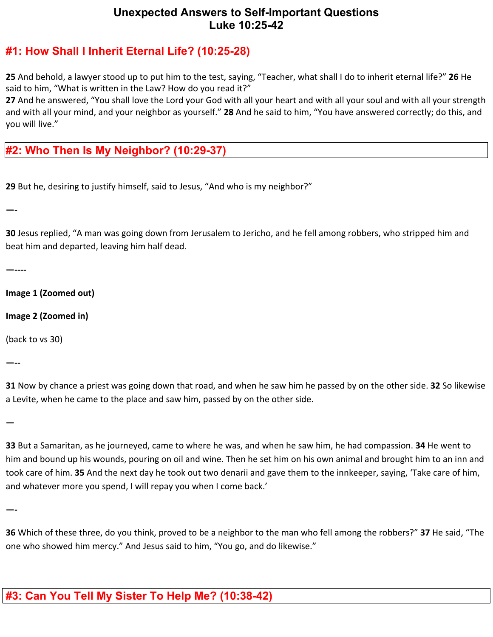## **Unexpected Answers to Self-Important Questions Luke 10:25-42**

## **#1: How Shall I Inherit Eternal Life? (10:25-28)**

**25** And behold, a lawyer stood up to put him to the test, saying, "Teacher, what shall I do to inherit eternal life?" **26** He said to him, "What is written in the Law? How do you read it?"

**27** And he answered, "You shall love the Lord your God with all your heart and with all your soul and with all your strength and with all your mind, and your neighbor as yourself." **28** And he said to him, "You have answered correctly; do this, and you will live."

## **#2: Who Then Is My Neighbor? (10:29-37)**

**29** But he, desiring to justify himself, said to Jesus, "And who is my neighbor?"

**—-**

**30** Jesus replied, "A man was going down from Jerusalem to Jericho, and he fell among robbers, who stripped him and beat him and departed, leaving him half dead.

**—----**

**Image 1 (Zoomed out)**

**Image 2 (Zoomed in)**

(back to vs 30)

**—--**

**31** Now by chance a priest was going down that road, and when he saw him he passed by on the other side. **32** So likewise a Levite, when he came to the place and saw him, passed by on the other side.

**—**

**33** But a Samaritan, as he journeyed, came to where he was, and when he saw him, he had compassion. **34** He went to him and bound up his wounds, pouring on oil and wine. Then he set him on his own animal and brought him to an inn and took care of him. **35** And the next day he took out two denarii and gave them to the innkeeper, saying, 'Take care of him, and whatever more you spend, I will repay you when I come back.'

**—-**

**36** Which of these three, do you think, proved to be a neighbor to the man who fell among the robbers?" **37** He said, "The one who showed him mercy." And Jesus said to him, "You go, and do likewise."